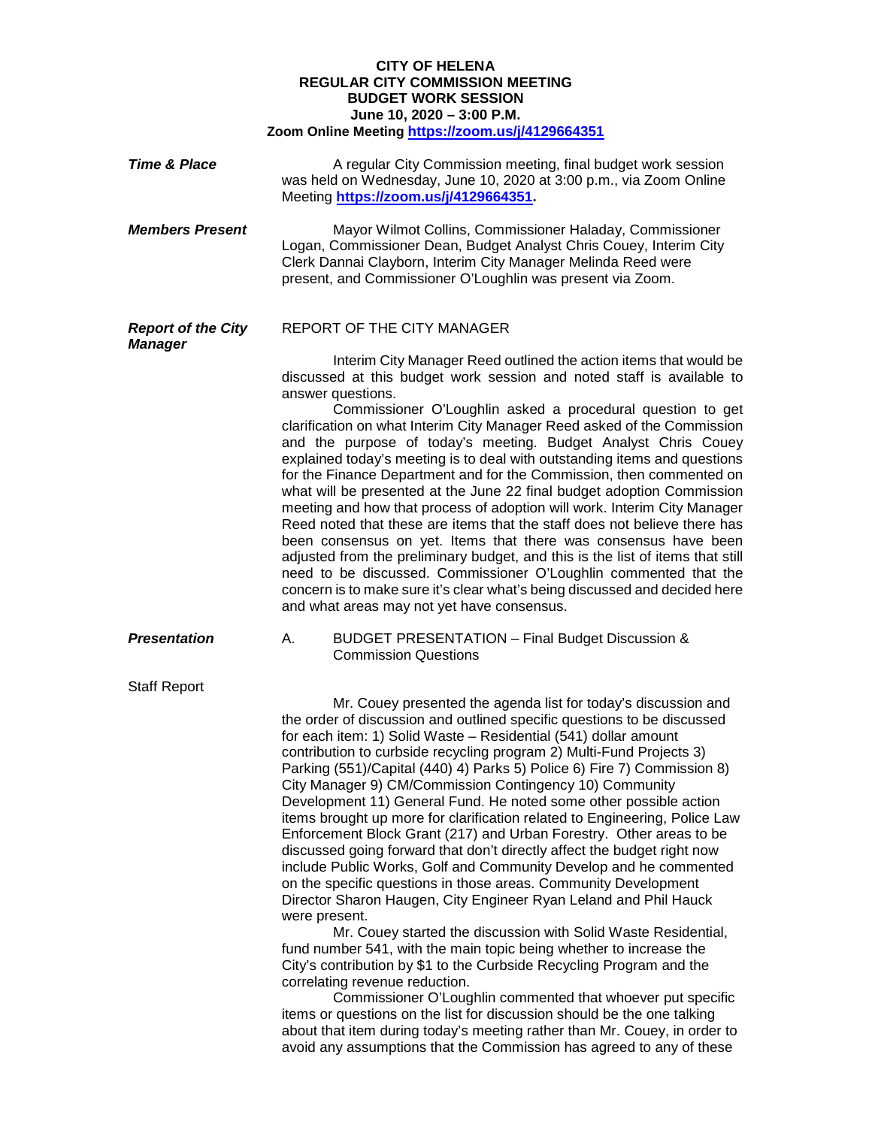## **CITY OF HELENA REGULAR CITY COMMISSION MEETING BUDGET WORK SESSION June 10, 2020 – 3:00 P.M.**

## **Zoom Online Meeting<https://zoom.us/j/4129664351>**

| <b>Time &amp; Place</b>                     | A regular City Commission meeting, final budget work session<br>was held on Wednesday, June 10, 2020 at 3:00 p.m., via Zoom Online<br>Meeting https://zoom.us/j/4129664351.                                                                                                                                                                                                                                                                                                                                                                                                                                                                                                                                                                                                                                                                                                                                                                                                                                                                                                                                                                                                                                                                                                                                                                                                                                                                                                                                   |
|---------------------------------------------|---------------------------------------------------------------------------------------------------------------------------------------------------------------------------------------------------------------------------------------------------------------------------------------------------------------------------------------------------------------------------------------------------------------------------------------------------------------------------------------------------------------------------------------------------------------------------------------------------------------------------------------------------------------------------------------------------------------------------------------------------------------------------------------------------------------------------------------------------------------------------------------------------------------------------------------------------------------------------------------------------------------------------------------------------------------------------------------------------------------------------------------------------------------------------------------------------------------------------------------------------------------------------------------------------------------------------------------------------------------------------------------------------------------------------------------------------------------------------------------------------------------|
| <b>Members Present</b>                      | Mayor Wilmot Collins, Commissioner Haladay, Commissioner<br>Logan, Commissioner Dean, Budget Analyst Chris Couey, Interim City<br>Clerk Dannai Clayborn, Interim City Manager Melinda Reed were<br>present, and Commissioner O'Loughlin was present via Zoom.                                                                                                                                                                                                                                                                                                                                                                                                                                                                                                                                                                                                                                                                                                                                                                                                                                                                                                                                                                                                                                                                                                                                                                                                                                                 |
| <b>Report of the City</b><br><b>Manager</b> | <b>REPORT OF THE CITY MANAGER</b>                                                                                                                                                                                                                                                                                                                                                                                                                                                                                                                                                                                                                                                                                                                                                                                                                                                                                                                                                                                                                                                                                                                                                                                                                                                                                                                                                                                                                                                                             |
|                                             | Interim City Manager Reed outlined the action items that would be<br>discussed at this budget work session and noted staff is available to<br>answer questions.<br>Commissioner O'Loughlin asked a procedural question to get<br>clarification on what Interim City Manager Reed asked of the Commission<br>and the purpose of today's meeting. Budget Analyst Chris Couey<br>explained today's meeting is to deal with outstanding items and questions<br>for the Finance Department and for the Commission, then commented on<br>what will be presented at the June 22 final budget adoption Commission<br>meeting and how that process of adoption will work. Interim City Manager<br>Reed noted that these are items that the staff does not believe there has<br>been consensus on yet. Items that there was consensus have been<br>adjusted from the preliminary budget, and this is the list of items that still<br>need to be discussed. Commissioner O'Loughlin commented that the<br>concern is to make sure it's clear what's being discussed and decided here<br>and what areas may not yet have consensus.                                                                                                                                                                                                                                                                                                                                                                                       |
| <b>Presentation</b>                         | <b>BUDGET PRESENTATION - Final Budget Discussion &amp;</b><br>А.<br><b>Commission Questions</b>                                                                                                                                                                                                                                                                                                                                                                                                                                                                                                                                                                                                                                                                                                                                                                                                                                                                                                                                                                                                                                                                                                                                                                                                                                                                                                                                                                                                               |
| <b>Staff Report</b>                         | Mr. Couey presented the agenda list for today's discussion and<br>the order of discussion and outlined specific questions to be discussed<br>for each item: 1) Solid Waste - Residential (541) dollar amount<br>contribution to curbside recycling program 2) Multi-Fund Projects 3)<br>Parking (551)/Capital (440) 4) Parks 5) Police 6) Fire 7) Commission 8)<br>City Manager 9) CM/Commission Contingency 10) Community<br>Development 11) General Fund. He noted some other possible action<br>items brought up more for clarification related to Engineering, Police Law<br>Enforcement Block Grant (217) and Urban Forestry. Other areas to be<br>discussed going forward that don't directly affect the budget right now<br>include Public Works, Golf and Community Develop and he commented<br>on the specific questions in those areas. Community Development<br>Director Sharon Haugen, City Engineer Ryan Leland and Phil Hauck<br>were present.<br>Mr. Couey started the discussion with Solid Waste Residential,<br>fund number 541, with the main topic being whether to increase the<br>City's contribution by \$1 to the Curbside Recycling Program and the<br>correlating revenue reduction.<br>Commissioner O'Loughlin commented that whoever put specific<br>items or questions on the list for discussion should be the one talking<br>about that item during today's meeting rather than Mr. Couey, in order to<br>avoid any assumptions that the Commission has agreed to any of these |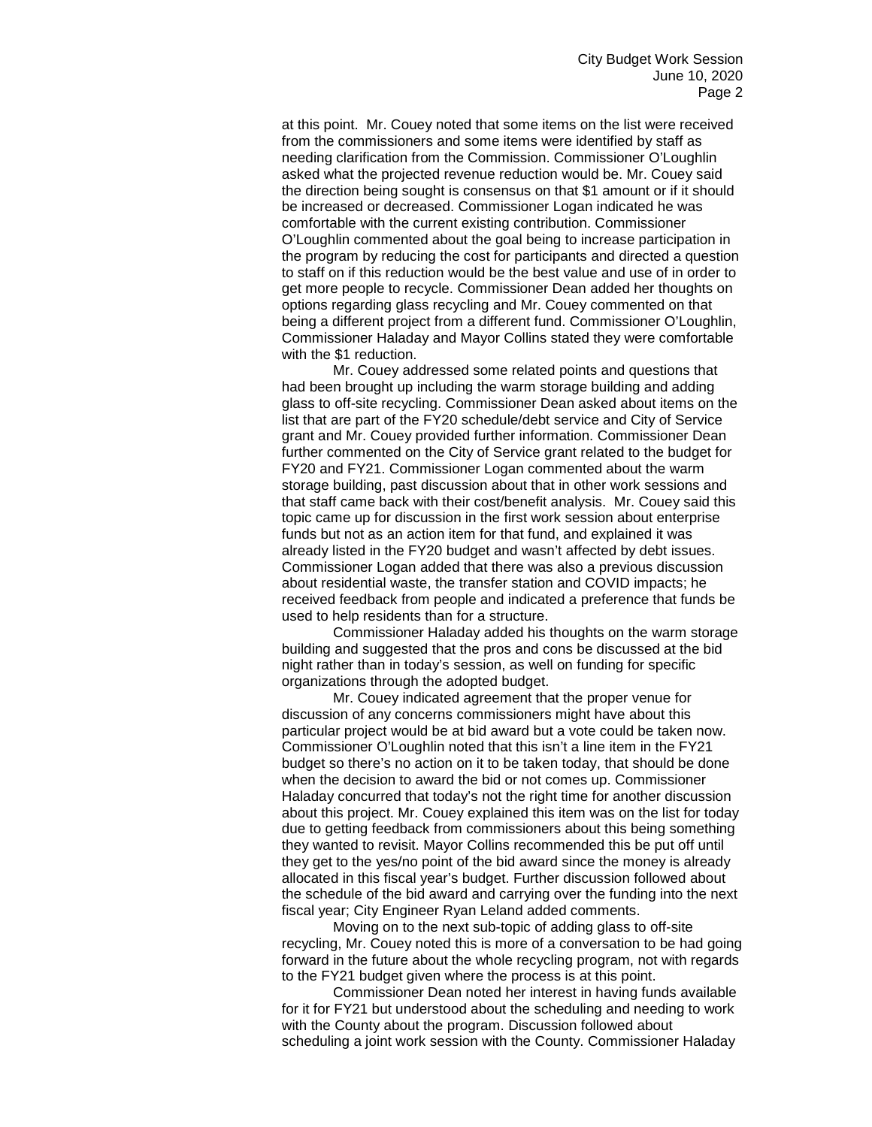at this point. Mr. Couey noted that some items on the list were received from the commissioners and some items were identified by staff as needing clarification from the Commission. Commissioner O'Loughlin asked what the projected revenue reduction would be. Mr. Couey said the direction being sought is consensus on that \$1 amount or if it should be increased or decreased. Commissioner Logan indicated he was comfortable with the current existing contribution. Commissioner O'Loughlin commented about the goal being to increase participation in the program by reducing the cost for participants and directed a question to staff on if this reduction would be the best value and use of in order to get more people to recycle. Commissioner Dean added her thoughts on options regarding glass recycling and Mr. Couey commented on that being a different project from a different fund. Commissioner O'Loughlin, Commissioner Haladay and Mayor Collins stated they were comfortable with the \$1 reduction.

Mr. Couey addressed some related points and questions that had been brought up including the warm storage building and adding glass to off-site recycling. Commissioner Dean asked about items on the list that are part of the FY20 schedule/debt service and City of Service grant and Mr. Couey provided further information. Commissioner Dean further commented on the City of Service grant related to the budget for FY20 and FY21. Commissioner Logan commented about the warm storage building, past discussion about that in other work sessions and that staff came back with their cost/benefit analysis. Mr. Couey said this topic came up for discussion in the first work session about enterprise funds but not as an action item for that fund, and explained it was already listed in the FY20 budget and wasn't affected by debt issues. Commissioner Logan added that there was also a previous discussion about residential waste, the transfer station and COVID impacts; he received feedback from people and indicated a preference that funds be used to help residents than for a structure.

Commissioner Haladay added his thoughts on the warm storage building and suggested that the pros and cons be discussed at the bid night rather than in today's session, as well on funding for specific organizations through the adopted budget.

Mr. Couey indicated agreement that the proper venue for discussion of any concerns commissioners might have about this particular project would be at bid award but a vote could be taken now. Commissioner O'Loughlin noted that this isn't a line item in the FY21 budget so there's no action on it to be taken today, that should be done when the decision to award the bid or not comes up. Commissioner Haladay concurred that today's not the right time for another discussion about this project. Mr. Couey explained this item was on the list for today due to getting feedback from commissioners about this being something they wanted to revisit. Mayor Collins recommended this be put off until they get to the yes/no point of the bid award since the money is already allocated in this fiscal year's budget. Further discussion followed about the schedule of the bid award and carrying over the funding into the next fiscal year; City Engineer Ryan Leland added comments.

Moving on to the next sub-topic of adding glass to off-site recycling, Mr. Couey noted this is more of a conversation to be had going forward in the future about the whole recycling program, not with regards to the FY21 budget given where the process is at this point.

Commissioner Dean noted her interest in having funds available for it for FY21 but understood about the scheduling and needing to work with the County about the program. Discussion followed about scheduling a joint work session with the County. Commissioner Haladay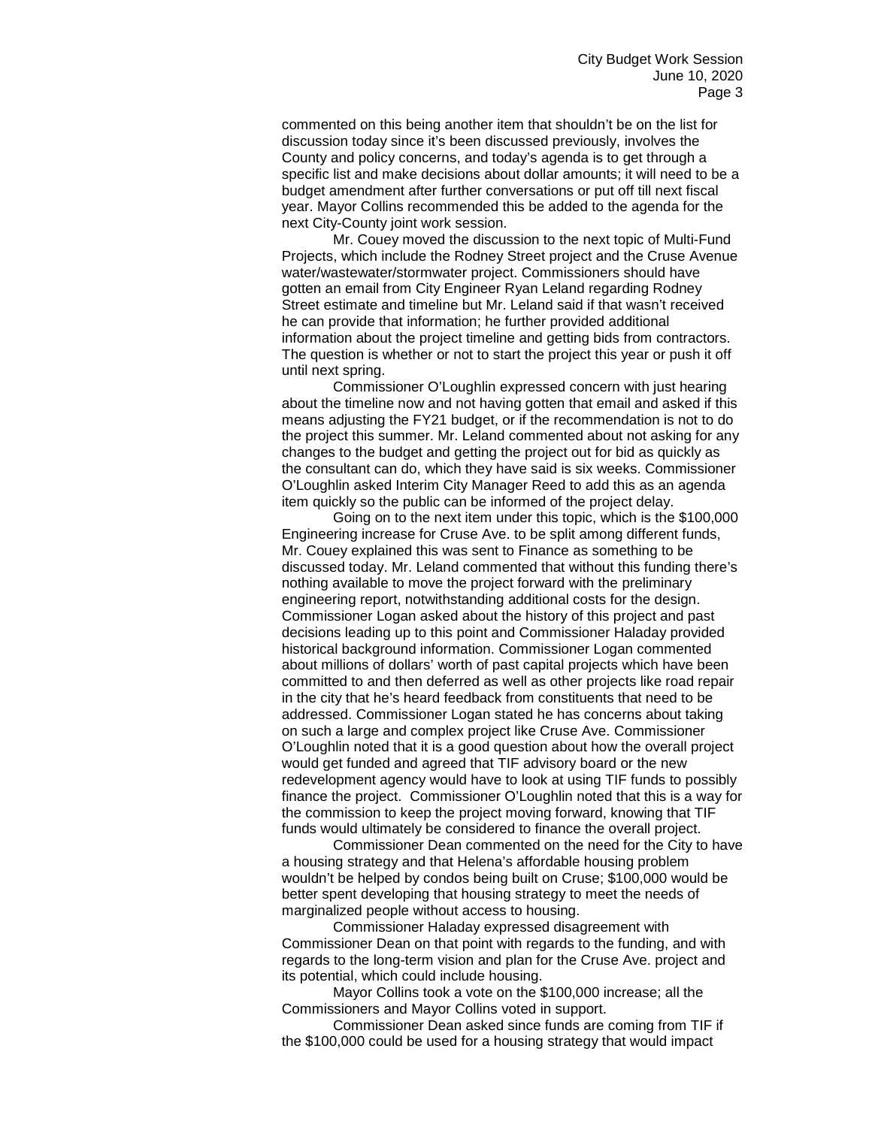commented on this being another item that shouldn't be on the list for discussion today since it's been discussed previously, involves the County and policy concerns, and today's agenda is to get through a specific list and make decisions about dollar amounts; it will need to be a budget amendment after further conversations or put off till next fiscal year. Mayor Collins recommended this be added to the agenda for the next City-County joint work session.

Mr. Couey moved the discussion to the next topic of Multi-Fund Projects, which include the Rodney Street project and the Cruse Avenue water/wastewater/stormwater project. Commissioners should have gotten an email from City Engineer Ryan Leland regarding Rodney Street estimate and timeline but Mr. Leland said if that wasn't received he can provide that information; he further provided additional information about the project timeline and getting bids from contractors. The question is whether or not to start the project this year or push it off until next spring.

Commissioner O'Loughlin expressed concern with just hearing about the timeline now and not having gotten that email and asked if this means adjusting the FY21 budget, or if the recommendation is not to do the project this summer. Mr. Leland commented about not asking for any changes to the budget and getting the project out for bid as quickly as the consultant can do, which they have said is six weeks. Commissioner O'Loughlin asked Interim City Manager Reed to add this as an agenda item quickly so the public can be informed of the project delay.

Going on to the next item under this topic, which is the \$100,000 Engineering increase for Cruse Ave. to be split among different funds, Mr. Couey explained this was sent to Finance as something to be discussed today. Mr. Leland commented that without this funding there's nothing available to move the project forward with the preliminary engineering report, notwithstanding additional costs for the design. Commissioner Logan asked about the history of this project and past decisions leading up to this point and Commissioner Haladay provided historical background information. Commissioner Logan commented about millions of dollars' worth of past capital projects which have been committed to and then deferred as well as other projects like road repair in the city that he's heard feedback from constituents that need to be addressed. Commissioner Logan stated he has concerns about taking on such a large and complex project like Cruse Ave. Commissioner O'Loughlin noted that it is a good question about how the overall project would get funded and agreed that TIF advisory board or the new redevelopment agency would have to look at using TIF funds to possibly finance the project. Commissioner O'Loughlin noted that this is a way for the commission to keep the project moving forward, knowing that TIF funds would ultimately be considered to finance the overall project.

Commissioner Dean commented on the need for the City to have a housing strategy and that Helena's affordable housing problem wouldn't be helped by condos being built on Cruse; \$100,000 would be better spent developing that housing strategy to meet the needs of marginalized people without access to housing.

Commissioner Haladay expressed disagreement with Commissioner Dean on that point with regards to the funding, and with regards to the long-term vision and plan for the Cruse Ave. project and its potential, which could include housing.

Mayor Collins took a vote on the \$100,000 increase; all the Commissioners and Mayor Collins voted in support.

Commissioner Dean asked since funds are coming from TIF if the \$100,000 could be used for a housing strategy that would impact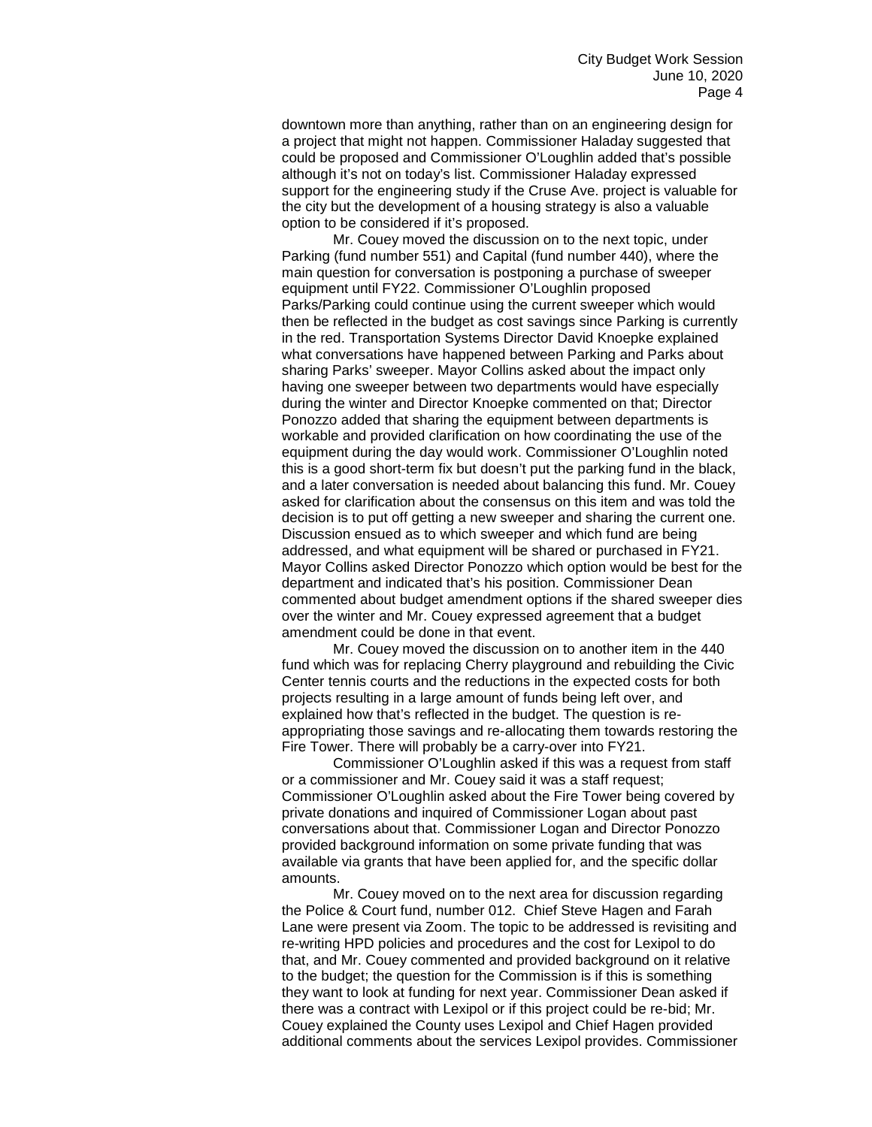downtown more than anything, rather than on an engineering design for a project that might not happen. Commissioner Haladay suggested that could be proposed and Commissioner O'Loughlin added that's possible although it's not on today's list. Commissioner Haladay expressed support for the engineering study if the Cruse Ave. project is valuable for the city but the development of a housing strategy is also a valuable option to be considered if it's proposed.

Mr. Couey moved the discussion on to the next topic, under Parking (fund number 551) and Capital (fund number 440), where the main question for conversation is postponing a purchase of sweeper equipment until FY22. Commissioner O'Loughlin proposed Parks/Parking could continue using the current sweeper which would then be reflected in the budget as cost savings since Parking is currently in the red. Transportation Systems Director David Knoepke explained what conversations have happened between Parking and Parks about sharing Parks' sweeper. Mayor Collins asked about the impact only having one sweeper between two departments would have especially during the winter and Director Knoepke commented on that; Director Ponozzo added that sharing the equipment between departments is workable and provided clarification on how coordinating the use of the equipment during the day would work. Commissioner O'Loughlin noted this is a good short-term fix but doesn't put the parking fund in the black, and a later conversation is needed about balancing this fund. Mr. Couey asked for clarification about the consensus on this item and was told the decision is to put off getting a new sweeper and sharing the current one. Discussion ensued as to which sweeper and which fund are being addressed, and what equipment will be shared or purchased in FY21. Mayor Collins asked Director Ponozzo which option would be best for the department and indicated that's his position. Commissioner Dean commented about budget amendment options if the shared sweeper dies over the winter and Mr. Couey expressed agreement that a budget amendment could be done in that event.

Mr. Couey moved the discussion on to another item in the 440 fund which was for replacing Cherry playground and rebuilding the Civic Center tennis courts and the reductions in the expected costs for both projects resulting in a large amount of funds being left over, and explained how that's reflected in the budget. The question is reappropriating those savings and re-allocating them towards restoring the Fire Tower. There will probably be a carry-over into FY21.

Commissioner O'Loughlin asked if this was a request from staff or a commissioner and Mr. Couey said it was a staff request; Commissioner O'Loughlin asked about the Fire Tower being covered by private donations and inquired of Commissioner Logan about past conversations about that. Commissioner Logan and Director Ponozzo provided background information on some private funding that was available via grants that have been applied for, and the specific dollar amounts.

Mr. Couey moved on to the next area for discussion regarding the Police & Court fund, number 012. Chief Steve Hagen and Farah Lane were present via Zoom. The topic to be addressed is revisiting and re-writing HPD policies and procedures and the cost for Lexipol to do that, and Mr. Couey commented and provided background on it relative to the budget; the question for the Commission is if this is something they want to look at funding for next year. Commissioner Dean asked if there was a contract with Lexipol or if this project could be re-bid; Mr. Couey explained the County uses Lexipol and Chief Hagen provided additional comments about the services Lexipol provides. Commissioner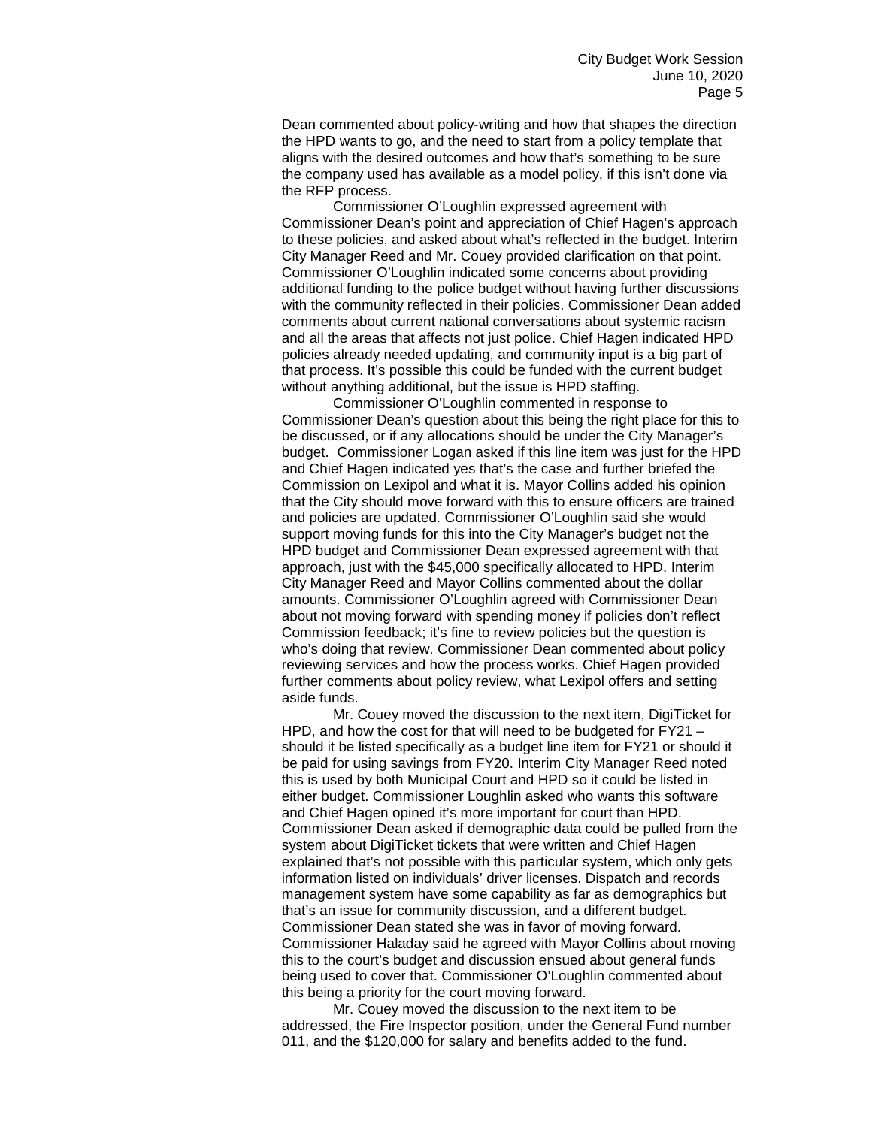Dean commented about policy-writing and how that shapes the direction the HPD wants to go, and the need to start from a policy template that aligns with the desired outcomes and how that's something to be sure the company used has available as a model policy, if this isn't done via the RFP process.

Commissioner O'Loughlin expressed agreement with Commissioner Dean's point and appreciation of Chief Hagen's approach to these policies, and asked about what's reflected in the budget. Interim City Manager Reed and Mr. Couey provided clarification on that point. Commissioner O'Loughlin indicated some concerns about providing additional funding to the police budget without having further discussions with the community reflected in their policies. Commissioner Dean added comments about current national conversations about systemic racism and all the areas that affects not just police. Chief Hagen indicated HPD policies already needed updating, and community input is a big part of that process. It's possible this could be funded with the current budget without anything additional, but the issue is HPD staffing.

Commissioner O'Loughlin commented in response to Commissioner Dean's question about this being the right place for this to be discussed, or if any allocations should be under the City Manager's budget. Commissioner Logan asked if this line item was just for the HPD and Chief Hagen indicated yes that's the case and further briefed the Commission on Lexipol and what it is. Mayor Collins added his opinion that the City should move forward with this to ensure officers are trained and policies are updated. Commissioner O'Loughlin said she would support moving funds for this into the City Manager's budget not the HPD budget and Commissioner Dean expressed agreement with that approach, just with the \$45,000 specifically allocated to HPD. Interim City Manager Reed and Mayor Collins commented about the dollar amounts. Commissioner O'Loughlin agreed with Commissioner Dean about not moving forward with spending money if policies don't reflect Commission feedback; it's fine to review policies but the question is who's doing that review. Commissioner Dean commented about policy reviewing services and how the process works. Chief Hagen provided further comments about policy review, what Lexipol offers and setting aside funds.

Mr. Couey moved the discussion to the next item, DigiTicket for HPD, and how the cost for that will need to be budgeted for FY21 – should it be listed specifically as a budget line item for FY21 or should it be paid for using savings from FY20. Interim City Manager Reed noted this is used by both Municipal Court and HPD so it could be listed in either budget. Commissioner Loughlin asked who wants this software and Chief Hagen opined it's more important for court than HPD. Commissioner Dean asked if demographic data could be pulled from the system about DigiTicket tickets that were written and Chief Hagen explained that's not possible with this particular system, which only gets information listed on individuals' driver licenses. Dispatch and records management system have some capability as far as demographics but that's an issue for community discussion, and a different budget. Commissioner Dean stated she was in favor of moving forward. Commissioner Haladay said he agreed with Mayor Collins about moving this to the court's budget and discussion ensued about general funds being used to cover that. Commissioner O'Loughlin commented about this being a priority for the court moving forward.

Mr. Couey moved the discussion to the next item to be addressed, the Fire Inspector position, under the General Fund number 011, and the \$120,000 for salary and benefits added to the fund.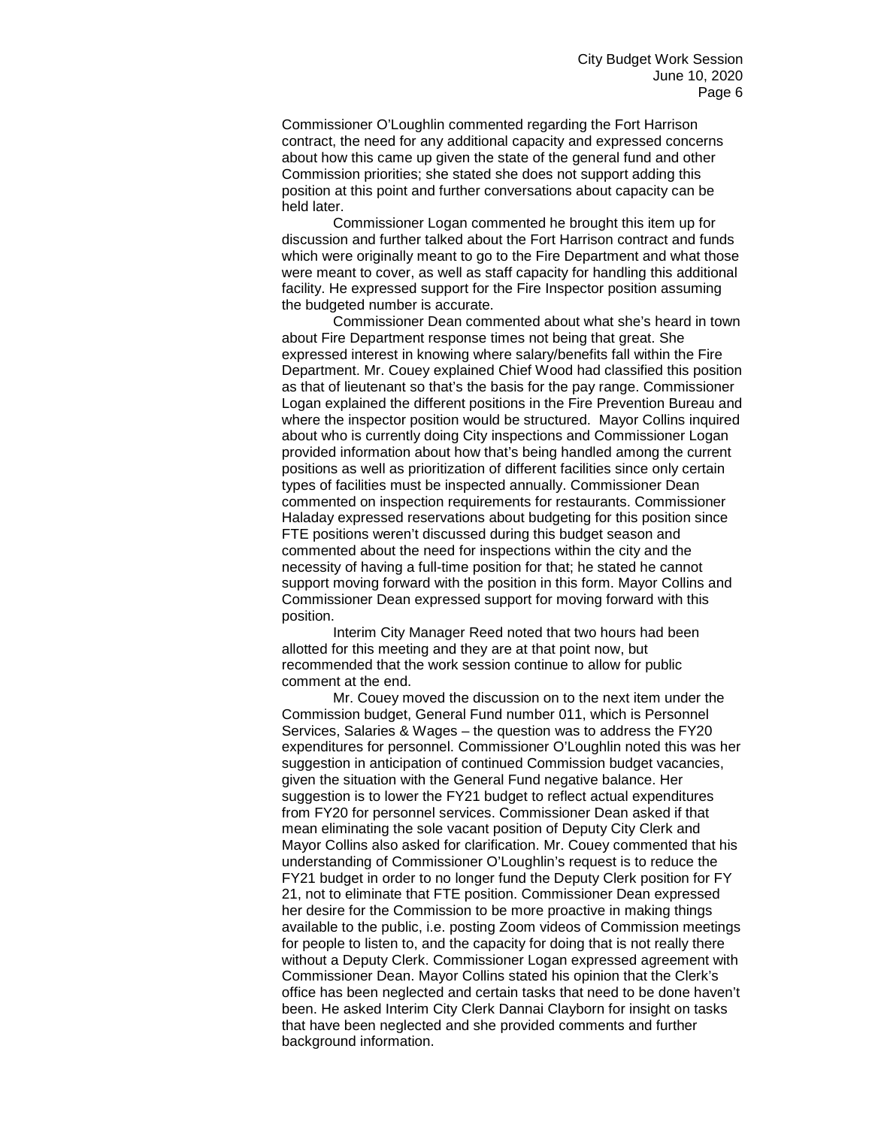Commissioner O'Loughlin commented regarding the Fort Harrison contract, the need for any additional capacity and expressed concerns about how this came up given the state of the general fund and other Commission priorities; she stated she does not support adding this position at this point and further conversations about capacity can be held later.

Commissioner Logan commented he brought this item up for discussion and further talked about the Fort Harrison contract and funds which were originally meant to go to the Fire Department and what those were meant to cover, as well as staff capacity for handling this additional facility. He expressed support for the Fire Inspector position assuming the budgeted number is accurate.

Commissioner Dean commented about what she's heard in town about Fire Department response times not being that great. She expressed interest in knowing where salary/benefits fall within the Fire Department. Mr. Couey explained Chief Wood had classified this position as that of lieutenant so that's the basis for the pay range. Commissioner Logan explained the different positions in the Fire Prevention Bureau and where the inspector position would be structured. Mayor Collins inquired about who is currently doing City inspections and Commissioner Logan provided information about how that's being handled among the current positions as well as prioritization of different facilities since only certain types of facilities must be inspected annually. Commissioner Dean commented on inspection requirements for restaurants. Commissioner Haladay expressed reservations about budgeting for this position since FTE positions weren't discussed during this budget season and commented about the need for inspections within the city and the necessity of having a full-time position for that; he stated he cannot support moving forward with the position in this form. Mayor Collins and Commissioner Dean expressed support for moving forward with this position.

Interim City Manager Reed noted that two hours had been allotted for this meeting and they are at that point now, but recommended that the work session continue to allow for public comment at the end.

Mr. Couey moved the discussion on to the next item under the Commission budget, General Fund number 011, which is Personnel Services, Salaries & Wages – the question was to address the FY20 expenditures for personnel. Commissioner O'Loughlin noted this was her suggestion in anticipation of continued Commission budget vacancies, given the situation with the General Fund negative balance. Her suggestion is to lower the FY21 budget to reflect actual expenditures from FY20 for personnel services. Commissioner Dean asked if that mean eliminating the sole vacant position of Deputy City Clerk and Mayor Collins also asked for clarification. Mr. Couey commented that his understanding of Commissioner O'Loughlin's request is to reduce the FY21 budget in order to no longer fund the Deputy Clerk position for FY 21, not to eliminate that FTE position. Commissioner Dean expressed her desire for the Commission to be more proactive in making things available to the public, i.e. posting Zoom videos of Commission meetings for people to listen to, and the capacity for doing that is not really there without a Deputy Clerk. Commissioner Logan expressed agreement with Commissioner Dean. Mayor Collins stated his opinion that the Clerk's office has been neglected and certain tasks that need to be done haven't been. He asked Interim City Clerk Dannai Clayborn for insight on tasks that have been neglected and she provided comments and further background information.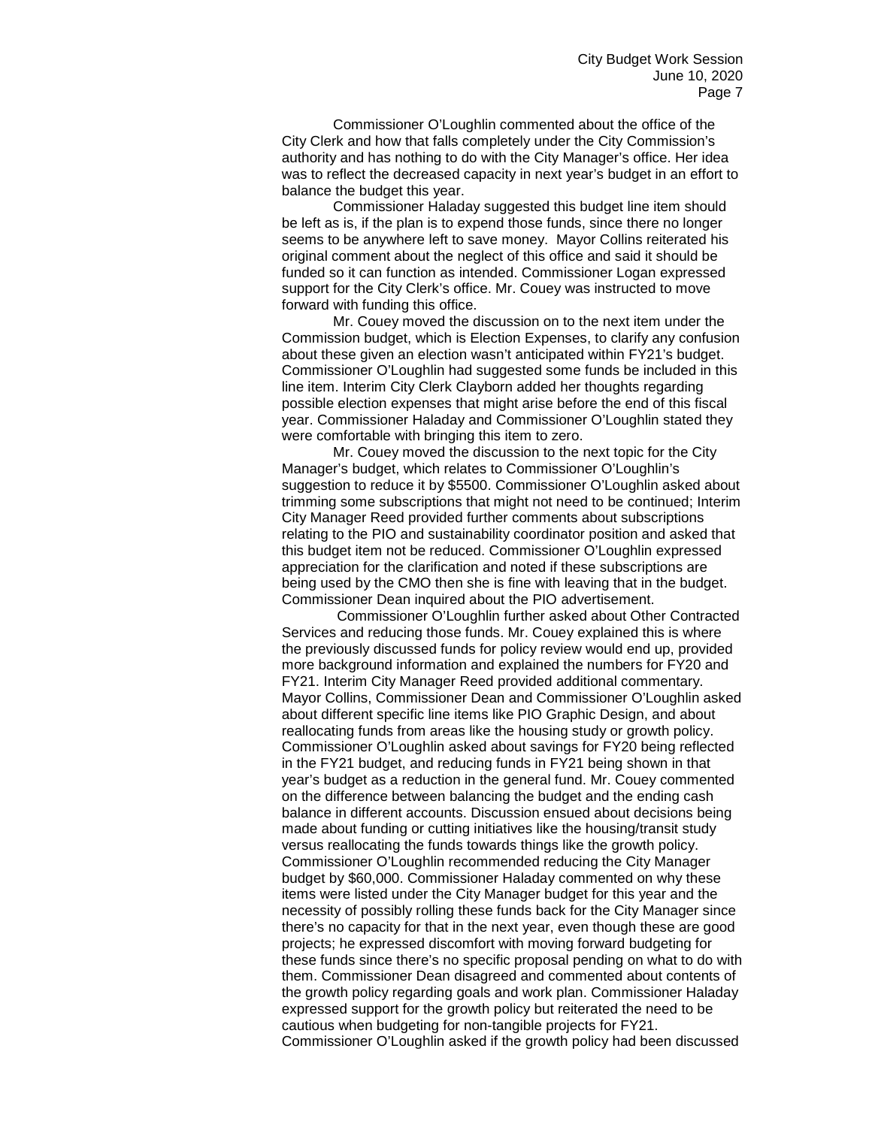Commissioner O'Loughlin commented about the office of the City Clerk and how that falls completely under the City Commission's authority and has nothing to do with the City Manager's office. Her idea was to reflect the decreased capacity in next year's budget in an effort to balance the budget this year.

Commissioner Haladay suggested this budget line item should be left as is, if the plan is to expend those funds, since there no longer seems to be anywhere left to save money. Mayor Collins reiterated his original comment about the neglect of this office and said it should be funded so it can function as intended. Commissioner Logan expressed support for the City Clerk's office. Mr. Couey was instructed to move forward with funding this office.

Mr. Couey moved the discussion on to the next item under the Commission budget, which is Election Expenses, to clarify any confusion about these given an election wasn't anticipated within FY21's budget. Commissioner O'Loughlin had suggested some funds be included in this line item. Interim City Clerk Clayborn added her thoughts regarding possible election expenses that might arise before the end of this fiscal year. Commissioner Haladay and Commissioner O'Loughlin stated they were comfortable with bringing this item to zero.

Mr. Couey moved the discussion to the next topic for the City Manager's budget, which relates to Commissioner O'Loughlin's suggestion to reduce it by \$5500. Commissioner O'Loughlin asked about trimming some subscriptions that might not need to be continued; Interim City Manager Reed provided further comments about subscriptions relating to the PIO and sustainability coordinator position and asked that this budget item not be reduced. Commissioner O'Loughlin expressed appreciation for the clarification and noted if these subscriptions are being used by the CMO then she is fine with leaving that in the budget. Commissioner Dean inquired about the PIO advertisement.

Commissioner O'Loughlin further asked about Other Contracted Services and reducing those funds. Mr. Couey explained this is where the previously discussed funds for policy review would end up, provided more background information and explained the numbers for FY20 and FY21. Interim City Manager Reed provided additional commentary. Mayor Collins, Commissioner Dean and Commissioner O'Loughlin asked about different specific line items like PIO Graphic Design, and about reallocating funds from areas like the housing study or growth policy. Commissioner O'Loughlin asked about savings for FY20 being reflected in the FY21 budget, and reducing funds in FY21 being shown in that year's budget as a reduction in the general fund. Mr. Couey commented on the difference between balancing the budget and the ending cash balance in different accounts. Discussion ensued about decisions being made about funding or cutting initiatives like the housing/transit study versus reallocating the funds towards things like the growth policy. Commissioner O'Loughlin recommended reducing the City Manager budget by \$60,000. Commissioner Haladay commented on why these items were listed under the City Manager budget for this year and the necessity of possibly rolling these funds back for the City Manager since there's no capacity for that in the next year, even though these are good projects; he expressed discomfort with moving forward budgeting for these funds since there's no specific proposal pending on what to do with them. Commissioner Dean disagreed and commented about contents of the growth policy regarding goals and work plan. Commissioner Haladay expressed support for the growth policy but reiterated the need to be cautious when budgeting for non-tangible projects for FY21. Commissioner O'Loughlin asked if the growth policy had been discussed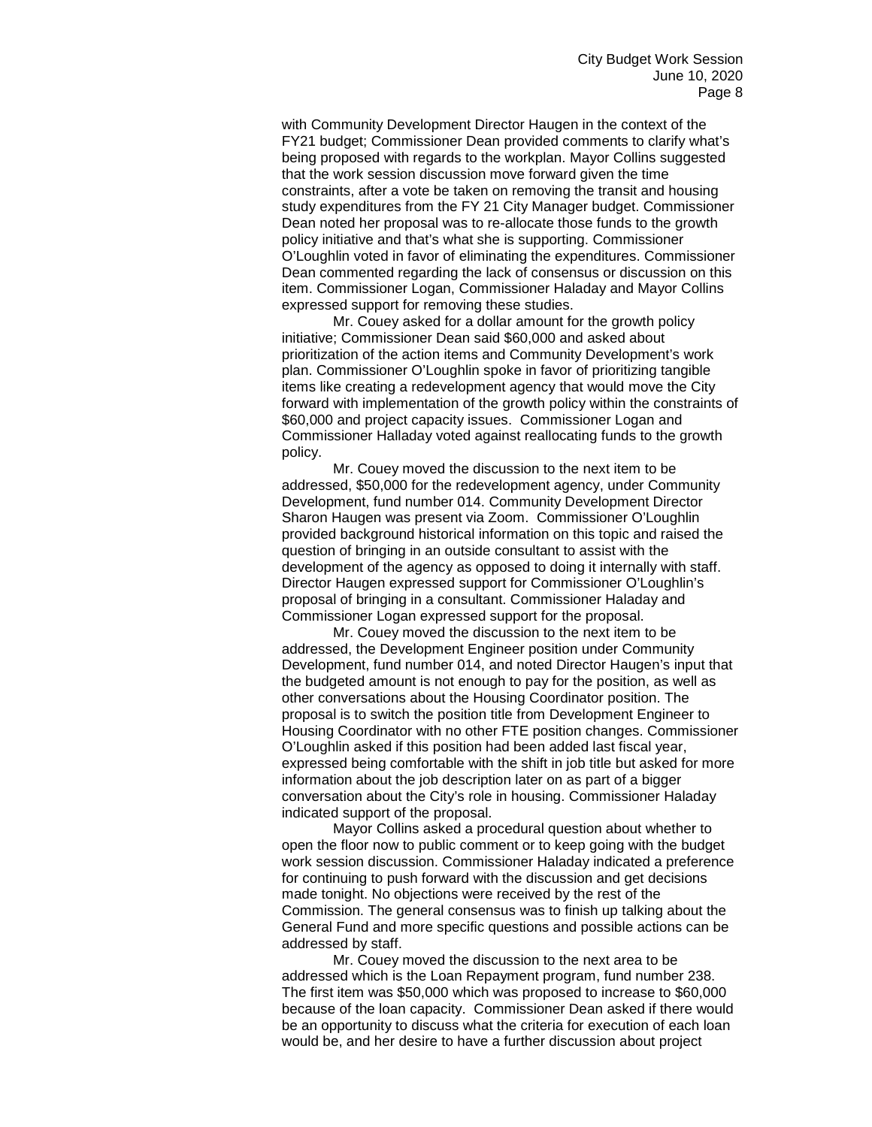with Community Development Director Haugen in the context of the FY21 budget; Commissioner Dean provided comments to clarify what's being proposed with regards to the workplan. Mayor Collins suggested that the work session discussion move forward given the time constraints, after a vote be taken on removing the transit and housing study expenditures from the FY 21 City Manager budget. Commissioner Dean noted her proposal was to re-allocate those funds to the growth policy initiative and that's what she is supporting. Commissioner O'Loughlin voted in favor of eliminating the expenditures. Commissioner Dean commented regarding the lack of consensus or discussion on this item. Commissioner Logan, Commissioner Haladay and Mayor Collins expressed support for removing these studies.

Mr. Couey asked for a dollar amount for the growth policy initiative; Commissioner Dean said \$60,000 and asked about prioritization of the action items and Community Development's work plan. Commissioner O'Loughlin spoke in favor of prioritizing tangible items like creating a redevelopment agency that would move the City forward with implementation of the growth policy within the constraints of \$60,000 and project capacity issues. Commissioner Logan and Commissioner Halladay voted against reallocating funds to the growth policy.

Mr. Couey moved the discussion to the next item to be addressed, \$50,000 for the redevelopment agency, under Community Development, fund number 014. Community Development Director Sharon Haugen was present via Zoom. Commissioner O'Loughlin provided background historical information on this topic and raised the question of bringing in an outside consultant to assist with the development of the agency as opposed to doing it internally with staff. Director Haugen expressed support for Commissioner O'Loughlin's proposal of bringing in a consultant. Commissioner Haladay and Commissioner Logan expressed support for the proposal.

Mr. Couey moved the discussion to the next item to be addressed, the Development Engineer position under Community Development, fund number 014, and noted Director Haugen's input that the budgeted amount is not enough to pay for the position, as well as other conversations about the Housing Coordinator position. The proposal is to switch the position title from Development Engineer to Housing Coordinator with no other FTE position changes. Commissioner O'Loughlin asked if this position had been added last fiscal year, expressed being comfortable with the shift in job title but asked for more information about the job description later on as part of a bigger conversation about the City's role in housing. Commissioner Haladay indicated support of the proposal.

Mayor Collins asked a procedural question about whether to open the floor now to public comment or to keep going with the budget work session discussion. Commissioner Haladay indicated a preference for continuing to push forward with the discussion and get decisions made tonight. No objections were received by the rest of the Commission. The general consensus was to finish up talking about the General Fund and more specific questions and possible actions can be addressed by staff.

Mr. Couey moved the discussion to the next area to be addressed which is the Loan Repayment program, fund number 238. The first item was \$50,000 which was proposed to increase to \$60,000 because of the loan capacity. Commissioner Dean asked if there would be an opportunity to discuss what the criteria for execution of each loan would be, and her desire to have a further discussion about project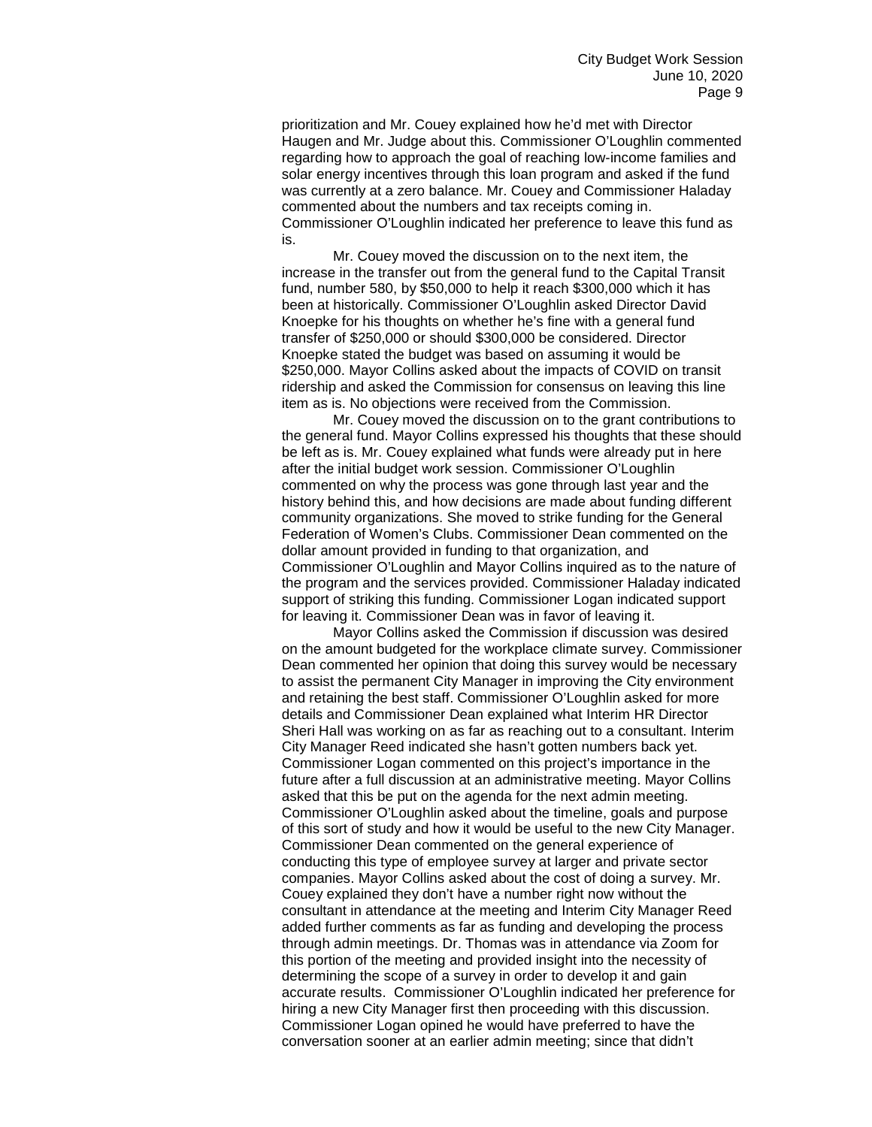prioritization and Mr. Couey explained how he'd met with Director Haugen and Mr. Judge about this. Commissioner O'Loughlin commented regarding how to approach the goal of reaching low-income families and solar energy incentives through this loan program and asked if the fund was currently at a zero balance. Mr. Couey and Commissioner Haladay commented about the numbers and tax receipts coming in. Commissioner O'Loughlin indicated her preference to leave this fund as is.

Mr. Couey moved the discussion on to the next item, the increase in the transfer out from the general fund to the Capital Transit fund, number 580, by \$50,000 to help it reach \$300,000 which it has been at historically. Commissioner O'Loughlin asked Director David Knoepke for his thoughts on whether he's fine with a general fund transfer of \$250,000 or should \$300,000 be considered. Director Knoepke stated the budget was based on assuming it would be \$250,000. Mayor Collins asked about the impacts of COVID on transit ridership and asked the Commission for consensus on leaving this line item as is. No objections were received from the Commission.

Mr. Couey moved the discussion on to the grant contributions to the general fund. Mayor Collins expressed his thoughts that these should be left as is. Mr. Couey explained what funds were already put in here after the initial budget work session. Commissioner O'Loughlin commented on why the process was gone through last year and the history behind this, and how decisions are made about funding different community organizations. She moved to strike funding for the General Federation of Women's Clubs. Commissioner Dean commented on the dollar amount provided in funding to that organization, and Commissioner O'Loughlin and Mayor Collins inquired as to the nature of the program and the services provided. Commissioner Haladay indicated support of striking this funding. Commissioner Logan indicated support for leaving it. Commissioner Dean was in favor of leaving it.

Mayor Collins asked the Commission if discussion was desired on the amount budgeted for the workplace climate survey. Commissioner Dean commented her opinion that doing this survey would be necessary to assist the permanent City Manager in improving the City environment and retaining the best staff. Commissioner O'Loughlin asked for more details and Commissioner Dean explained what Interim HR Director Sheri Hall was working on as far as reaching out to a consultant. Interim City Manager Reed indicated she hasn't gotten numbers back yet. Commissioner Logan commented on this project's importance in the future after a full discussion at an administrative meeting. Mayor Collins asked that this be put on the agenda for the next admin meeting. Commissioner O'Loughlin asked about the timeline, goals and purpose of this sort of study and how it would be useful to the new City Manager. Commissioner Dean commented on the general experience of conducting this type of employee survey at larger and private sector companies. Mayor Collins asked about the cost of doing a survey. Mr. Couey explained they don't have a number right now without the consultant in attendance at the meeting and Interim City Manager Reed added further comments as far as funding and developing the process through admin meetings. Dr. Thomas was in attendance via Zoom for this portion of the meeting and provided insight into the necessity of determining the scope of a survey in order to develop it and gain accurate results. Commissioner O'Loughlin indicated her preference for hiring a new City Manager first then proceeding with this discussion. Commissioner Logan opined he would have preferred to have the conversation sooner at an earlier admin meeting; since that didn't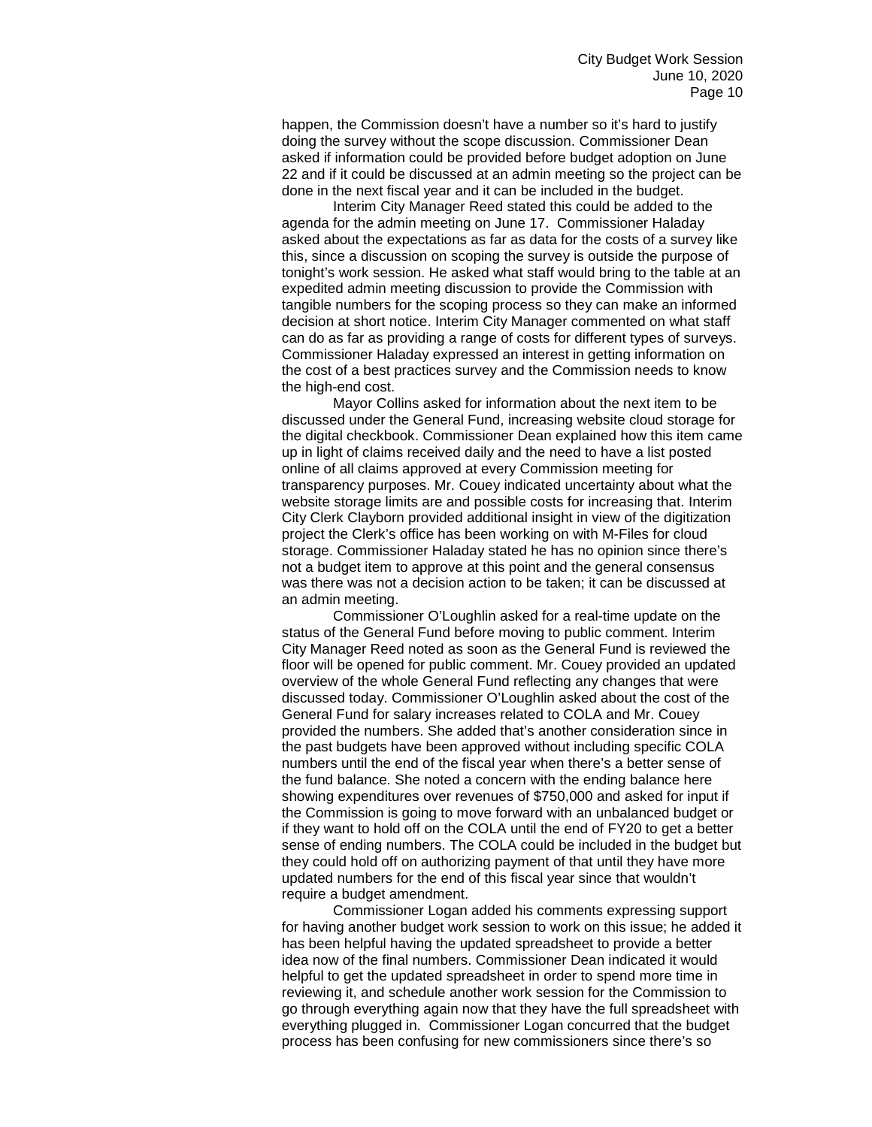happen, the Commission doesn't have a number so it's hard to justify doing the survey without the scope discussion. Commissioner Dean asked if information could be provided before budget adoption on June 22 and if it could be discussed at an admin meeting so the project can be done in the next fiscal year and it can be included in the budget.

Interim City Manager Reed stated this could be added to the agenda for the admin meeting on June 17. Commissioner Haladay asked about the expectations as far as data for the costs of a survey like this, since a discussion on scoping the survey is outside the purpose of tonight's work session. He asked what staff would bring to the table at an expedited admin meeting discussion to provide the Commission with tangible numbers for the scoping process so they can make an informed decision at short notice. Interim City Manager commented on what staff can do as far as providing a range of costs for different types of surveys. Commissioner Haladay expressed an interest in getting information on the cost of a best practices survey and the Commission needs to know the high-end cost.

Mayor Collins asked for information about the next item to be discussed under the General Fund, increasing website cloud storage for the digital checkbook. Commissioner Dean explained how this item came up in light of claims received daily and the need to have a list posted online of all claims approved at every Commission meeting for transparency purposes. Mr. Couey indicated uncertainty about what the website storage limits are and possible costs for increasing that. Interim City Clerk Clayborn provided additional insight in view of the digitization project the Clerk's office has been working on with M-Files for cloud storage. Commissioner Haladay stated he has no opinion since there's not a budget item to approve at this point and the general consensus was there was not a decision action to be taken; it can be discussed at an admin meeting.

Commissioner O'Loughlin asked for a real-time update on the status of the General Fund before moving to public comment. Interim City Manager Reed noted as soon as the General Fund is reviewed the floor will be opened for public comment. Mr. Couey provided an updated overview of the whole General Fund reflecting any changes that were discussed today. Commissioner O'Loughlin asked about the cost of the General Fund for salary increases related to COLA and Mr. Couey provided the numbers. She added that's another consideration since in the past budgets have been approved without including specific COLA numbers until the end of the fiscal year when there's a better sense of the fund balance. She noted a concern with the ending balance here showing expenditures over revenues of \$750,000 and asked for input if the Commission is going to move forward with an unbalanced budget or if they want to hold off on the COLA until the end of FY20 to get a better sense of ending numbers. The COLA could be included in the budget but they could hold off on authorizing payment of that until they have more updated numbers for the end of this fiscal year since that wouldn't require a budget amendment.

Commissioner Logan added his comments expressing support for having another budget work session to work on this issue; he added it has been helpful having the updated spreadsheet to provide a better idea now of the final numbers. Commissioner Dean indicated it would helpful to get the updated spreadsheet in order to spend more time in reviewing it, and schedule another work session for the Commission to go through everything again now that they have the full spreadsheet with everything plugged in. Commissioner Logan concurred that the budget process has been confusing for new commissioners since there's so